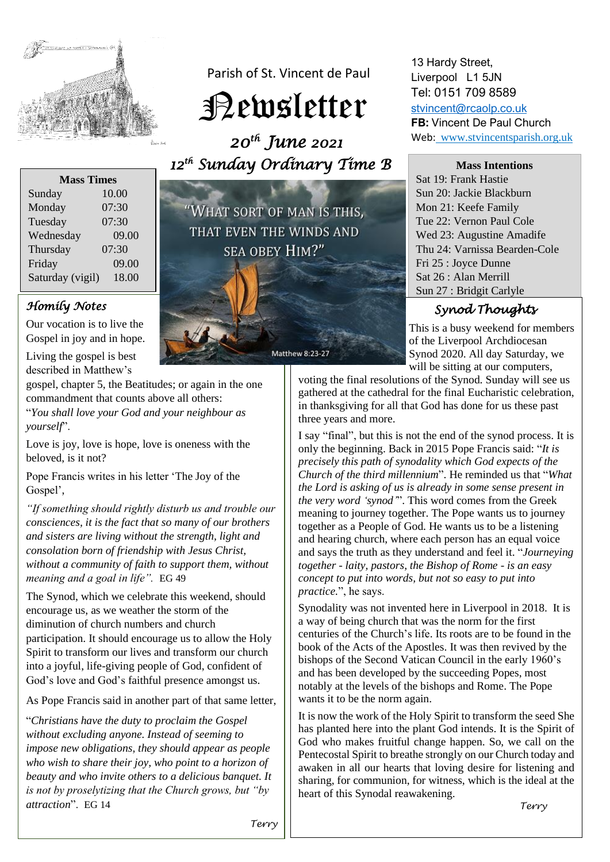

Parish of St. Vincent de Paul

Newsletter

 *20th June 2021 12th Sunday Ordinary Time B* 

| <b>Mass Times</b> |       |
|-------------------|-------|
| Sunday            | 10.00 |
| Monday            | 07:30 |
| Tuesday           | 07:30 |
| Wednesday         | 09.00 |
| Thursday          | 07:30 |
| Friday            | 09.00 |
| Saturday (vigil)  | 18.00 |

## *Homily Notes*

Our vocation is to live the Gospel in joy and in hope.

Living the gospel is best described in Matthew's

gospel, chapter 5, the Beatitudes; or again in the one commandment that counts above all others:

"*You shall love your God and your neighbour as yourself*".

Love is joy, love is hope, love is oneness with the beloved, is it not?

Pope Francis writes in his letter 'The Joy of the Gospel',

*"If something should rightly disturb us and trouble our consciences, it is the fact that so many of our brothers and sisters are living without the strength, light and consolation born of friendship with Jesus Christ, without a community of faith to support them, without meaning and a goal in life".* EG 49

The Synod, which we celebrate this weekend, should encourage us, as we weather the storm of the diminution of church numbers and church participation. It should encourage us to allow the Holy Spirit to transform our lives and transform our church into a joyful, life-giving people of God, confident of God's love and God's faithful presence amongst us.

As Pope Francis said in another part of that same letter,

"*Christians have the duty to proclaim the Gospel without excluding anyone. Instead of seeming to impose new obligations, they should appear as people who wish to share their joy, who point to a horizon of beauty and who invite others to a delicious banquet. It is not by proselytizing that the Church grows, but "by attraction*". EG 14



Matthew 8:23-27

13 Hardy Street, Liverpool L1 5JN Tel: 0151 709 8589

[stvincent@rcaolp.co.uk](mailto:stvincent@rcaolp.co.uk) **FB:** Vincent De Paul Church Web: www.stvincentsparish.org.uk

**Mass Intentions**

Sat 19: Frank Hastie Sun 20: Jackie Blackburn Mon 21: Keefe Family Tue 22: Vernon Paul Cole Wed 23: Augustine Amadife Thu 24: Varnissa Bearden-Cole Fri 25 : Joyce Dunne Sat 26 : Alan Merrill Sun 27 : Bridgit Carlyle

## *Synod Thoughts*

This is a busy weekend for members of the Liverpool Archdiocesan Synod 2020. All day Saturday, we will be sitting at our computers,

voting the final resolutions of the Synod. Sunday will see us gathered at the cathedral for the final Eucharistic celebration, in thanksgiving for all that God has done for us these past three years and more.

I say "final", but this is not the end of the synod process. It is only the beginning. Back in 2015 Pope Francis said: "*It is precisely this path of synodality which God expects of the Church of the third millennium*". He reminded us that "*What the Lord is asking of us is already in some sense present in the very word 'synod'*". This word comes from the Greek meaning to journey together. The Pope wants us to journey together as a People of God. He wants us to be a listening and hearing church, where each person has an equal voice and says the truth as they understand and feel it. "*Journeying together - laity, pastors, the Bishop of Rome - is an easy concept to put into words, but not so easy to put into practice.*", he says.

Synodality was not invented here in Liverpool in 2018. It is a way of being church that was the norm for the first centuries of the Church's life. Its roots are to be found in the book of the Acts of the Apostles. It was then revived by the bishops of the Second Vatican Council in the early 1960's and has been developed by the succeeding Popes, most notably at the levels of the bishops and Rome. The Pope wants it to be the norm again.

It is now the work of the Holy Spirit to transform the seed She has planted here into the plant God intends. It is the Spirit of God who makes fruitful change happen. So, we call on the Pentecostal Spirit to breathe strongly on our Church today and awaken in all our hearts that loving desire for listening and sharing, for communion, for witness, which is the ideal at the heart of this Synodal reawakening.